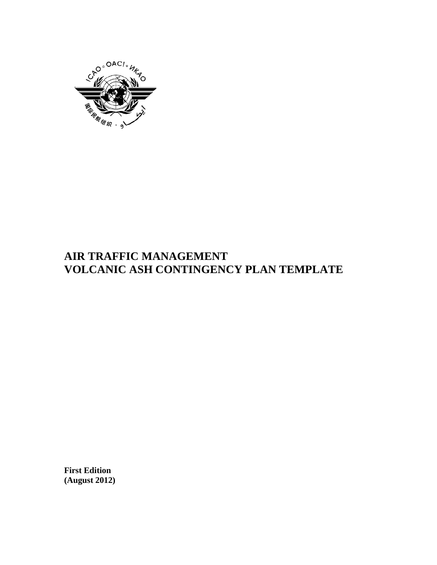

# **AIR TRAFFIC MANAGEMENT VOLCANIC ASH CONTINGENCY PLAN TEMPLATE**

**First Edition (August 2012)**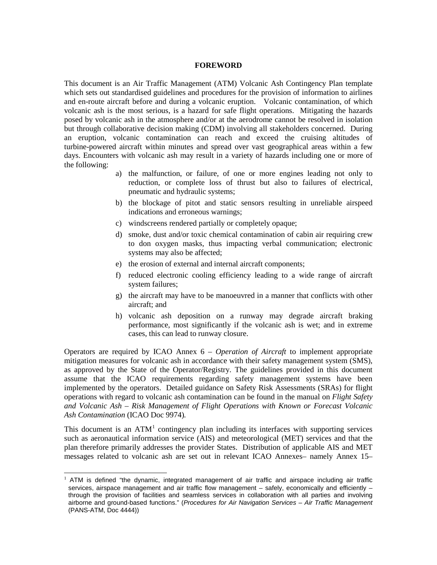#### **FOREWORD**

This document is an Air Traffic Management (ATM) Volcanic Ash Contingency Plan template which sets out standardised guidelines and procedures for the provision of information to airlines and en-route aircraft before and during a volcanic eruption. Volcanic contamination, of which volcanic ash is the most serious, is a hazard for safe flight operations. Mitigating the hazards posed by volcanic ash in the atmosphere and/or at the aerodrome cannot be resolved in isolation but through collaborative decision making (CDM) involving all stakeholders concerned. During an eruption, volcanic contamination can reach and exceed the cruising altitudes of turbine-powered aircraft within minutes and spread over vast geographical areas within a few days. Encounters with volcanic ash may result in a variety of hazards including one or more of the following:

- a) the malfunction, or failure, of one or more engines leading not only to reduction, or complete loss of thrust but also to failures of electrical, pneumatic and hydraulic systems;
- b) the blockage of pitot and static sensors resulting in unreliable airspeed indications and erroneous warnings;
- c) windscreens rendered partially or completely opaque;
- d) smoke, dust and/or toxic chemical contamination of cabin air requiring crew to don oxygen masks, thus impacting verbal communication; electronic systems may also be affected;
- e) the erosion of external and internal aircraft components;
- f) reduced electronic cooling efficiency leading to a wide range of aircraft system failures;
- g) the aircraft may have to be manoeuvred in a manner that conflicts with other aircraft; and
- h) volcanic ash deposition on a runway may degrade aircraft braking performance, most significantly if the volcanic ash is wet; and in extreme cases, this can lead to runway closure.

Operators are required by ICAO Annex 6 – *Operation of Aircraft* to implement appropriate mitigation measures for volcanic ash in accordance with their safety management system (SMS), as approved by the State of the Operator/Registry. The guidelines provided in this document assume that the ICAO requirements regarding safety management systems have been implemented by the operators. Detailed guidance on Safety Risk Assessments (SRAs) for flight operations with regard to volcanic ash contamination can be found in the manual on *Flight Safety and Volcanic Ash – Risk Management of Flight Operations with Known or Forecast Volcanic Ash Contamination* (ICAO Doc 9974)*.*

This document is an  $ATM<sup>1</sup>$  $ATM<sup>1</sup>$  $ATM<sup>1</sup>$  contingency plan including its interfaces with supporting services such as aeronautical information service (AIS) and meteorological (MET) services and that the plan therefore primarily addresses the provider States. Distribution of applicable AIS and MET messages related to volcanic ash are set out in relevant ICAO Annexes– namely Annex 15–

<span id="page-2-0"></span> $1$  ATM is defined "the dynamic, integrated management of air traffic and airspace including air traffic services, airspace management and air traffic flow management – safely, economically and efficiently – through the provision of facilities and seamless services in collaboration with all parties and involving airborne and ground-based functions." (*Procedures for Air Navigation Services – Air Traffic Management* (PANS-ATM, Doc 4444))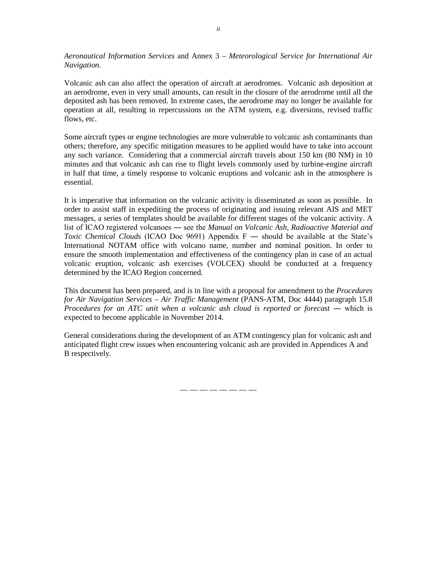*Aeronautical Information Services* and Annex 3 – *Meteorological Service for International Air Navigation.* 

Volcanic ash can also affect the operation of aircraft at aerodromes. Volcanic ash deposition at an aerodrome, even in very small amounts, can result in the closure of the aerodrome until all the deposited ash has been removed. In extreme cases, the aerodrome may no longer be available for operation at all, resulting in repercussions on the ATM system, e.g. diversions, revised traffic flows, etc.

Some aircraft types or engine technologies are more vulnerable to volcanic ash contaminants than others; therefore, any specific mitigation measures to be applied would have to take into account any such variance. Considering that a commercial aircraft travels about 150 km (80 NM) in 10 minutes and that volcanic ash can rise to flight levels commonly used by turbine-engine aircraft in half that time, a timely response to volcanic eruptions and volcanic ash in the atmosphere is essential.

It is imperative that information on the volcanic activity is disseminated as soon as possible. In order to assist staff in expediting the process of originating and issuing relevant AIS and MET messages, a series of templates should be available for different stages of the volcanic activity. A list of ICAO registered volcanoes ― see the *Manual on Volcanic Ash, Radioactive Material and Toxic Chemical Clouds* (ICAO Doc 9691) Appendix  $F$  — should be available at the State's International NOTAM office with volcano name, number and nominal position. In order to ensure the smooth implementation and effectiveness of the contingency plan in case of an actual volcanic eruption, volcanic ash exercises (VOLCEX) should be conducted at a frequency determined by the ICAO Region concerned.

This document has been prepared, and is in line with a proposal for amendment to the *Procedures for Air Navigation Services – Air Traffic Management* (PANS-ATM, Doc 4444) paragraph 15.8 *Procedures for an ATC unit when a volcanic ash cloud is reported or forecast* — which is expected to become applicable in November 2014.

General considerations during the development of an ATM contingency plan for volcanic ash and anticipated flight crew issues when encountering volcanic ash are provided in Appendices A and B respectively.

— — — — — — — —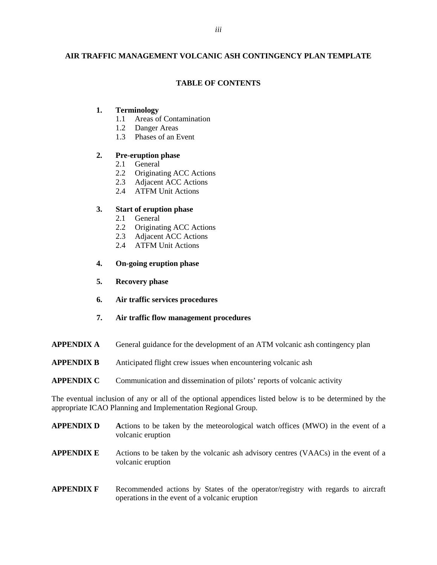# **AIR TRAFFIC MANAGEMENT VOLCANIC ASH CONTINGENCY PLAN TEMPLATE**

# **TABLE OF CONTENTS**

# **1. Terminology**

- 1.1 Areas of Contamination
- 1.2 Danger Areas
- 1.3 Phases of an Event

## **2. Pre-eruption phase**

- 2.1 General
- 2.2 Originating ACC Actions
- 2.3 Adjacent ACC Actions
- 2.4 ATFM Unit Actions

## **3. Start of eruption phase**

- 2.1 General
- 2.2 Originating ACC Actions
- 2.3 Adjacent ACC Actions
- 2.4 ATFM Unit Actions
- **4. On-going eruption phase**
- **5. Recovery phase**
- **6. Air traffic services procedures**
- **7. Air traffic flow management procedures**
- **APPENDIX A** General guidance for the development of an ATM volcanic ash contingency plan
- **APPENDIX B** Anticipated flight crew issues when encountering volcanic ash

#### **APPENDIX C** Communication and dissemination of pilots' reports of volcanic activity

The eventual inclusion of any or all of the optional appendices listed below is to be determined by the appropriate ICAO Planning and Implementation Regional Group.

| <b>APPENDIX D</b> | Actions to be taken by the meteorological watch offices (MWO) in the event of a<br>volcanic eruption                              |
|-------------------|-----------------------------------------------------------------------------------------------------------------------------------|
| <b>APPENDIX E</b> | Actions to be taken by the volcanic ash advisory centres (VAACs) in the event of a<br>volcanic eruption                           |
| <b>APPENDIX F</b> | Recommended actions by States of the operator/registry with regards to aircraft<br>operations in the event of a volcanic eruption |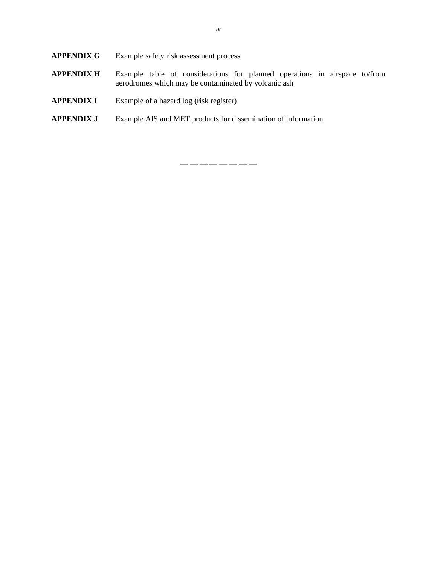- **APPENDIX G** Example safety risk assessment process
- **APPENDIX H** Example table of considerations for planned operations in airspace to/from aerodromes which may be contaminated by volcanic ash
- **APPENDIX I** Example of a hazard log (risk register)
- **APPENDIX J** Example AIS and MET products for dissemination of information

— — — — — — — —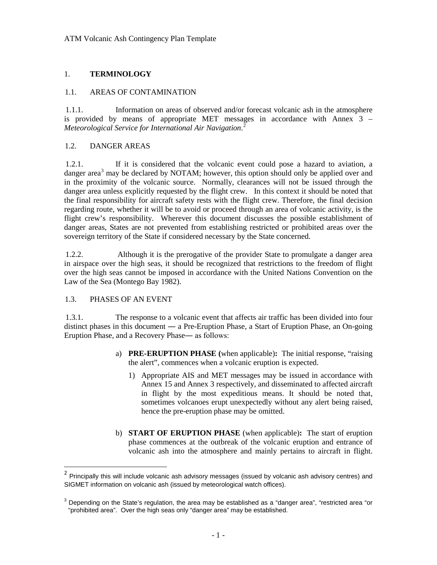## 1. **TERMINOLOGY**

#### 1.1. AREAS OF CONTAMINATION

1.1.1. Information on areas of observed and/or forecast volcanic ash in the atmosphere is provided by means of appropriate MET messages in accordance with Annex 3 – *Meteorological Service for International Air Navigation*. [2](#page-6-0)

#### 1.2. DANGER AREAS

1.2.1. If it is considered that the volcanic event could pose a hazard to aviation, a danger area<sup>[3](#page-6-1)</sup> may be declared by NOTAM; however, this option should only be applied over and in the proximity of the volcanic source. Normally, clearances will not be issued through the danger area unless explicitly requested by the flight crew. In this context it should be noted that the final responsibility for aircraft safety rests with the flight crew. Therefore, the final decision regarding route, whether it will be to avoid or proceed through an area of volcanic activity, is the flight crew's responsibility. Wherever this document discusses the possible establishment of danger areas, States are not prevented from establishing restricted or prohibited areas over the sovereign territory of the State if considered necessary by the State concerned.

1.2.2. Although it is the prerogative of the provider State to promulgate a danger area in airspace over the high seas, it should be recognized that restrictions to the freedom of flight over the high seas cannot be imposed in accordance with the United Nations Convention on the Law of the Sea (Montego Bay 1982).

#### 1.3. PHASES OF AN EVENT

1.3.1. The response to a volcanic event that affects air traffic has been divided into four distinct phases in this document ― a Pre-Eruption Phase, a Start of Eruption Phase, an On-going Eruption Phase, and a Recovery Phase― as follows:

- a) **PRE-ERUPTION PHASE (**when applicable)**:** The initial response, "raising the alert", commences when a volcanic eruption is expected.
	- 1) Appropriate AIS and MET messages may be issued in accordance with Annex 15 and Annex 3 respectively, and disseminated to affected aircraft in flight by the most expeditious means. It should be noted that, sometimes volcanoes erupt unexpectedly without any alert being raised, hence the pre-eruption phase may be omitted.
- b) **START OF ERUPTION PHASE** (when applicable)**:** The start of eruption phase commences at the outbreak of the volcanic eruption and entrance of volcanic ash into the atmosphere and mainly pertains to aircraft in flight.

<span id="page-6-0"></span><sup>&</sup>lt;sup>2</sup> Principally this will include volcanic ash advisory messages (issued by volcanic ash advisory centres) and SIGMET information on volcanic ash (issued by meteorological watch offices).

<span id="page-6-1"></span> $3$  Depending on the State's regulation, the area may be established as a "danger area", "restricted area "or "prohibited area". Over the high seas only "danger area" may be established.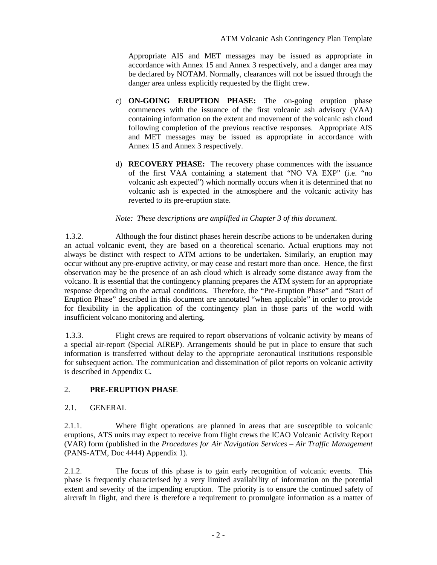Appropriate AIS and MET messages may be issued as appropriate in accordance with Annex 15 and Annex 3 respectively, and a danger area may be declared by NOTAM. Normally, clearances will not be issued through the danger area unless explicitly requested by the flight crew.

- c) **ON-GOING ERUPTION PHASE:** The on-going eruption phase commences with the issuance of the first volcanic ash advisory (VAA) containing information on the extent and movement of the volcanic ash cloud following completion of the previous reactive responses. Appropriate AIS and MET messages may be issued as appropriate in accordance with Annex 15 and Annex 3 respectively.
- d) **RECOVERY PHASE:** The recovery phase commences with the issuance of the first VAA containing a statement that "NO VA EXP" (i.e. "no volcanic ash expected") which normally occurs when it is determined that no volcanic ash is expected in the atmosphere and the volcanic activity has reverted to its pre-eruption state.

## *Note: These descriptions are amplified in Chapter 3 of this document.*

1.3.2. Although the four distinct phases herein describe actions to be undertaken during an actual volcanic event, they are based on a theoretical scenario. Actual eruptions may not always be distinct with respect to ATM actions to be undertaken. Similarly, an eruption may occur without any pre-eruptive activity, or may cease and restart more than once. Hence, the first observation may be the presence of an ash cloud which is already some distance away from the volcano. It is essential that the contingency planning prepares the ATM system for an appropriate response depending on the actual conditions. Therefore, the "Pre-Eruption Phase" and "Start of Eruption Phase" described in this document are annotated "when applicable" in order to provide for flexibility in the application of the contingency plan in those parts of the world with insufficient volcano monitoring and alerting.

1.3.3. Flight crews are required to report observations of volcanic activity by means of a special air-report (Special AIREP). Arrangements should be put in place to ensure that such information is transferred without delay to the appropriate aeronautical institutions responsible for subsequent action. The communication and dissemination of pilot reports on volcanic activity is described in Appendix C.

# 2. **PRE-ERUPTION PHASE**

#### 2.1. GENERAL

2.1.1. Where flight operations are planned in areas that are susceptible to volcanic eruptions, ATS units may expect to receive from flight crews the ICAO Volcanic Activity Report (VAR) form (published in the *Procedures for Air Navigation Services – Air Traffic Management*  (PANS-ATM, Doc 4444) Appendix 1).

2.1.2. The focus of this phase is to gain early recognition of volcanic events. This phase is frequently characterised by a very limited availability of information on the potential extent and severity of the impending eruption. The priority is to ensure the continued safety of aircraft in flight, and there is therefore a requirement to promulgate information as a matter of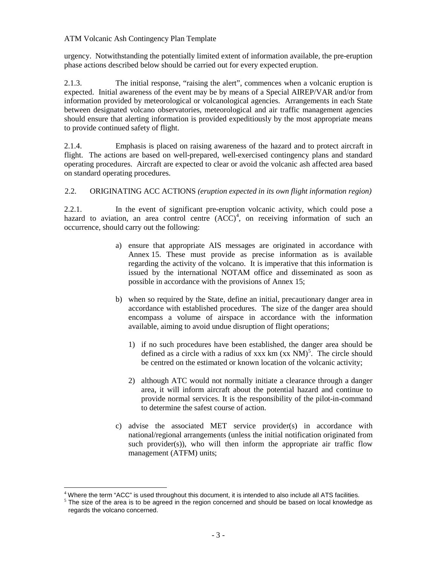## ATM Volcanic Ash Contingency Plan Template

urgency. Notwithstanding the potentially limited extent of information available, the pre-eruption phase actions described below should be carried out for every expected eruption.

2.1.3. The initial response, "raising the alert", commences when a volcanic eruption is expected. Initial awareness of the event may be by means of a Special AIREP/VAR and/or from information provided by meteorological or volcanological agencies. Arrangements in each State between designated volcano observatories, meteorological and air traffic management agencies should ensure that alerting information is provided expeditiously by the most appropriate means to provide continued safety of flight.

2.1.4. Emphasis is placed on raising awareness of the hazard and to protect aircraft in flight. The actions are based on well-prepared, well-exercised contingency plans and standard operating procedures. Aircraft are expected to clear or avoid the volcanic ash affected area based on standard operating procedures.

## 2.2. ORIGINATING ACC ACTIONS *(eruption expected in its own flight information region)*

2.2.1. In the event of significant pre-eruption volcanic activity, which could pose a hazard to aviation, an area control centre  $(ACC)^4$  $(ACC)^4$ , on receiving information of such an occurrence, should carry out the following:

- a) ensure that appropriate AIS messages are originated in accordance with Annex 15. These must provide as precise information as is available regarding the activity of the volcano. It is imperative that this information is issued by the international NOTAM office and disseminated as soon as possible in accordance with the provisions of Annex 15;
- b) when so required by the State, define an initial, precautionary danger area in accordance with established procedures. The size of the danger area should encompass a volume of airspace in accordance with the information available, aiming to avoid undue disruption of flight operations;
	- 1) if no such procedures have been established, the danger area should be defined as a circle with a radius of xxx  $km (xx NM)<sup>5</sup>$  $km (xx NM)<sup>5</sup>$  $km (xx NM)<sup>5</sup>$ . The circle should be centred on the estimated or known location of the volcanic activity;
	- 2) although ATC would not normally initiate a clearance through a danger area, it will inform aircraft about the potential hazard and continue to provide normal services. It is the responsibility of the pilot-in-command to determine the safest course of action.
- c) advise the associated MET service provider(s) in accordance with national/regional arrangements (unless the initial notification originated from such provider(s)), who will then inform the appropriate air traffic flow management (ATFM) units;

<span id="page-8-1"></span><span id="page-8-0"></span> $4$  Where the term "ACC" is used throughout this document, it is intended to also include all ATS facilities.  $5$  The size of the area is to be agreed in the region concerned and should be based on local knowledge as regards the volcano concerned.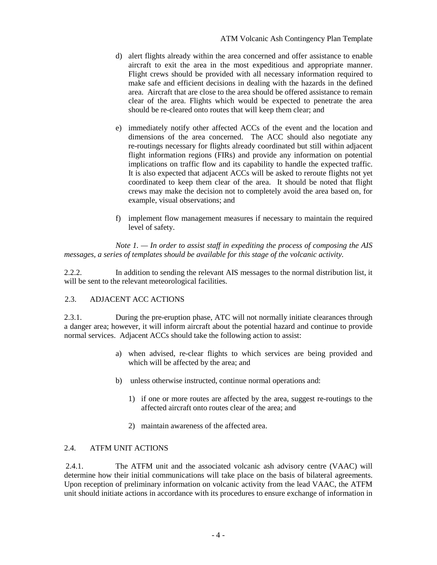- d) alert flights already within the area concerned and offer assistance to enable aircraft to exit the area in the most expeditious and appropriate manner. Flight crews should be provided with all necessary information required to make safe and efficient decisions in dealing with the hazards in the defined area. Aircraft that are close to the area should be offered assistance to remain clear of the area. Flights which would be expected to penetrate the area should be re-cleared onto routes that will keep them clear; and
- e) immediately notify other affected ACCs of the event and the location and dimensions of the area concerned. The ACC should also negotiate any re-routings necessary for flights already coordinated but still within adjacent flight information regions (FIRs) and provide any information on potential implications on traffic flow and its capability to handle the expected traffic. It is also expected that adjacent ACCs will be asked to reroute flights not yet coordinated to keep them clear of the area. It should be noted that flight crews may make the decision not to completely avoid the area based on, for example, visual observations; and
- f) implement flow management measures if necessary to maintain the required level of safety.

*Note 1. — In order to assist staff in expediting the process of composing the AIS messages, a series of templates should be available for this stage of the volcanic activity.* 

2.2.2. In addition to sending the relevant AIS messages to the normal distribution list, it will be sent to the relevant meteorological facilities.

# 2.3. ADJACENT ACC ACTIONS

2.3.1. During the pre-eruption phase, ATC will not normally initiate clearances through a danger area; however, it will inform aircraft about the potential hazard and continue to provide normal services. Adjacent ACCs should take the following action to assist:

- a) when advised, re-clear flights to which services are being provided and which will be affected by the area; and
- b) unless otherwise instructed, continue normal operations and:
	- 1) if one or more routes are affected by the area, suggest re-routings to the affected aircraft onto routes clear of the area; and
	- 2) maintain awareness of the affected area.

# 2.4. ATFM UNIT ACTIONS

2.4.1. The ATFM unit and the associated volcanic ash advisory centre (VAAC) will determine how their initial communications will take place on the basis of bilateral agreements. Upon reception of preliminary information on volcanic activity from the lead VAAC, the ATFM unit should initiate actions in accordance with its procedures to ensure exchange of information in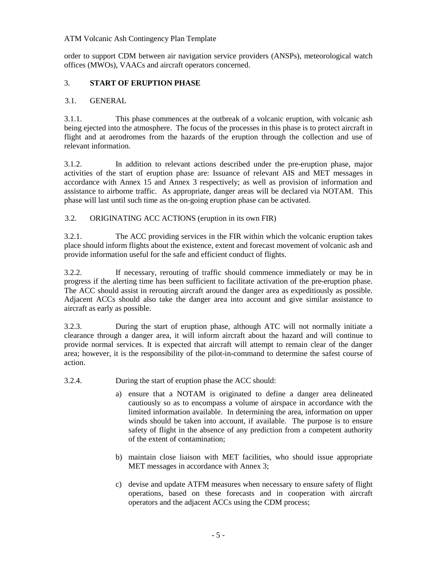### ATM Volcanic Ash Contingency Plan Template

order to support CDM between air navigation service providers (ANSPs), meteorological watch offices (MWOs), VAACs and aircraft operators concerned.

# 3. **START OF ERUPTION PHASE**

# 3.1. GENERAL

3.1.1. This phase commences at the outbreak of a volcanic eruption, with volcanic ash being ejected into the atmosphere. The focus of the processes in this phase is to protect aircraft in flight and at aerodromes from the hazards of the eruption through the collection and use of relevant information.

3.1.2. In addition to relevant actions described under the pre-eruption phase, major activities of the start of eruption phase are: Issuance of relevant AIS and MET messages in accordance with Annex 15 and Annex 3 respectively; as well as provision of information and assistance to airborne traffic. As appropriate, danger areas will be declared via NOTAM. This phase will last until such time as the on-going eruption phase can be activated.

3.2. ORIGINATING ACC ACTIONS (eruption in its own FIR)

3.2.1. The ACC providing services in the FIR within which the volcanic eruption takes place should inform flights about the existence, extent and forecast movement of volcanic ash and provide information useful for the safe and efficient conduct of flights.

3.2.2. If necessary, rerouting of traffic should commence immediately or may be in progress if the alerting time has been sufficient to facilitate activation of the pre-eruption phase. The ACC should assist in rerouting aircraft around the danger area as expeditiously as possible. Adjacent ACCs should also take the danger area into account and give similar assistance to aircraft as early as possible.

3.2.3. During the start of eruption phase, although ATC will not normally initiate a clearance through a danger area, it will inform aircraft about the hazard and will continue to provide normal services. It is expected that aircraft will attempt to remain clear of the danger area; however, it is the responsibility of the pilot-in-command to determine the safest course of action.

- 3.2.4. During the start of eruption phase the ACC should:
	- a) ensure that a NOTAM is originated to define a danger area delineated cautiously so as to encompass a volume of airspace in accordance with the limited information available. In determining the area, information on upper winds should be taken into account, if available. The purpose is to ensure safety of flight in the absence of any prediction from a competent authority of the extent of contamination;
	- b) maintain close liaison with MET facilities, who should issue appropriate MET messages in accordance with Annex 3;
	- c) devise and update ATFM measures when necessary to ensure safety of flight operations, based on these forecasts and in cooperation with aircraft operators and the adjacent ACCs using the CDM process;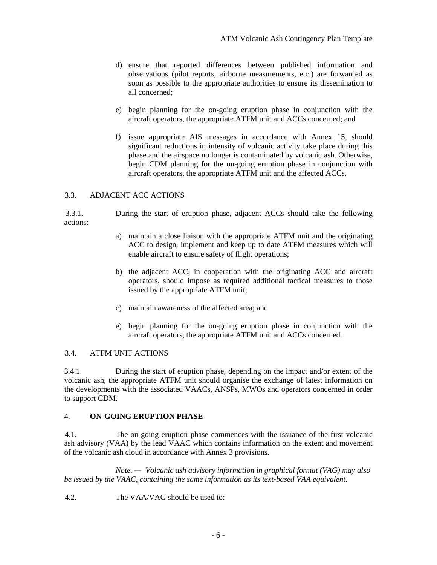- d) ensure that reported differences between published information and observations (pilot reports, airborne measurements, etc.) are forwarded as soon as possible to the appropriate authorities to ensure its dissemination to all concerned;
- e) begin planning for the on-going eruption phase in conjunction with the aircraft operators, the appropriate ATFM unit and ACCs concerned; and
- f) issue appropriate AIS messages in accordance with Annex 15, should significant reductions in intensity of volcanic activity take place during this phase and the airspace no longer is contaminated by volcanic ash. Otherwise, begin CDM planning for the on-going eruption phase in conjunction with aircraft operators, the appropriate ATFM unit and the affected ACCs.

## 3.3. ADJACENT ACC ACTIONS

3.3.1. During the start of eruption phase, adjacent ACCs should take the following actions:

- a) maintain a close liaison with the appropriate ATFM unit and the originating ACC to design, implement and keep up to date ATFM measures which will enable aircraft to ensure safety of flight operations;
- b) the adjacent ACC, in cooperation with the originating ACC and aircraft operators, should impose as required additional tactical measures to those issued by the appropriate ATFM unit;
- c) maintain awareness of the affected area; and
- e) begin planning for the on-going eruption phase in conjunction with the aircraft operators, the appropriate ATFM unit and ACCs concerned.

#### 3.4. ATFM UNIT ACTIONS

3.4.1. During the start of eruption phase, depending on the impact and/or extent of the volcanic ash, the appropriate ATFM unit should organise the exchange of latest information on the developments with the associated VAACs, ANSPs, MWOs and operators concerned in order to support CDM.

#### 4. **ON-GOING ERUPTION PHASE**

4.1. The on-going eruption phase commences with the issuance of the first volcanic ash advisory (VAA) by the lead VAAC which contains information on the extent and movement of the volcanic ash cloud in accordance with Annex 3 provisions.

*Note. — Volcanic ash advisory information in graphical format (VAG) may also be issued by the VAAC, containing the same information as its text-based VAA equivalent.*

4.2. The VAA/VAG should be used to: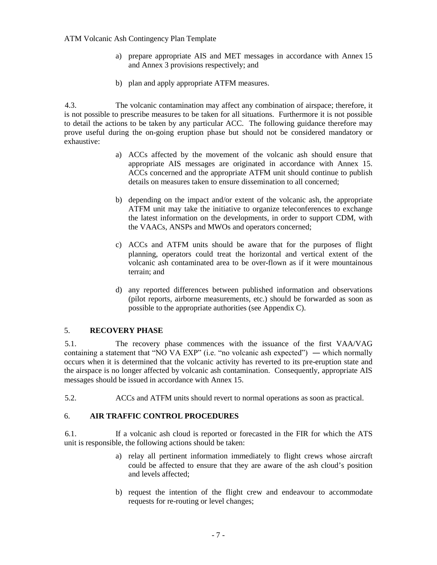#### ATM Volcanic Ash Contingency Plan Template

- a) prepare appropriate AIS and MET messages in accordance with Annex 15 and Annex 3 provisions respectively; and
- b) plan and apply appropriate ATFM measures.

4.3. The volcanic contamination may affect any combination of airspace; therefore, it is not possible to prescribe measures to be taken for all situations. Furthermore it is not possible to detail the actions to be taken by any particular ACC. The following guidance therefore may prove useful during the on-going eruption phase but should not be considered mandatory or exhaustive:

- a) ACCs affected by the movement of the volcanic ash should ensure that appropriate AIS messages are originated in accordance with Annex 15. ACCs concerned and the appropriate ATFM unit should continue to publish details on measures taken to ensure dissemination to all concerned;
- b) depending on the impact and/or extent of the volcanic ash, the appropriate ATFM unit may take the initiative to organize teleconferences to exchange the latest information on the developments, in order to support CDM, with the VAACs, ANSPs and MWOs and operators concerned;
- c) ACCs and ATFM units should be aware that for the purposes of flight planning, operators could treat the horizontal and vertical extent of the volcanic ash contaminated area to be over-flown as if it were mountainous terrain; and
- d) any reported differences between published information and observations (pilot reports, airborne measurements, etc.) should be forwarded as soon as possible to the appropriate authorities (see Appendix C).

## 5. **RECOVERY PHASE**

5.1. The recovery phase commences with the issuance of the first VAA/VAG containing a statement that "NO VA EXP" (i.e. "no volcanic ash expected") — which normally occurs when it is determined that the volcanic activity has reverted to its pre-eruption state and the airspace is no longer affected by volcanic ash contamination. Consequently, appropriate AIS messages should be issued in accordance with Annex 15.

5.2. ACCs and ATFM units should revert to normal operations as soon as practical.

#### 6. **AIR TRAFFIC CONTROL PROCEDURES**

6.1. If a volcanic ash cloud is reported or forecasted in the FIR for which the ATS unit is responsible, the following actions should be taken:

- a) relay all pertinent information immediately to flight crews whose aircraft could be affected to ensure that they are aware of the ash cloud's position and levels affected;
- b) request the intention of the flight crew and endeavour to accommodate requests for re-routing or level changes;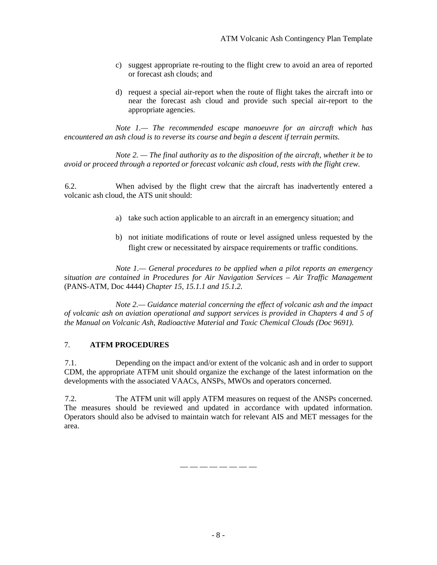- c) suggest appropriate re-routing to the flight crew to avoid an area of reported or forecast ash clouds; and
- d) request a special air-report when the route of flight takes the aircraft into or near the forecast ash cloud and provide such special air-report to the appropriate agencies.

*Note 1.— The recommended escape manoeuvre for an aircraft which has encountered an ash cloud is to reverse its course and begin a descent if terrain permits.* 

*Note 2. — The final authority as to the disposition of the aircraft, whether it be to avoid or proceed through a reported or forecast volcanic ash cloud, rests with the flight crew.*

6.2. When advised by the flight crew that the aircraft has inadvertently entered a volcanic ash cloud, the ATS unit should:

- a) take such action applicable to an aircraft in an emergency situation; and
- b) not initiate modifications of route or level assigned unless requested by the flight crew or necessitated by airspace requirements or traffic conditions.

*Note 1.— General procedures to be applied when a pilot reports an emergency situation are contained in Procedures for Air Navigation Services – Air Traffic Management* (PANS-ATM, Doc 4444) *Chapter 15, 15.1.1 and 15.1.2.*

*Note 2.— Guidance material concerning the effect of volcanic ash and the impact of volcanic ash on aviation operational and support services is provided in Chapters 4 and 5 of the Manual on Volcanic Ash, Radioactive Material and Toxic Chemical Clouds (Doc 9691).*

# 7. **ATFM PROCEDURES**

7.1. Depending on the impact and/or extent of the volcanic ash and in order to support CDM, the appropriate ATFM unit should organize the exchange of the latest information on the developments with the associated VAACs, ANSPs, MWOs and operators concerned.

7.2. The ATFM unit will apply ATFM measures on request of the ANSPs concerned. The measures should be reviewed and updated in accordance with updated information. Operators should also be advised to maintain watch for relevant AIS and MET messages for the area.

— — — — — — — —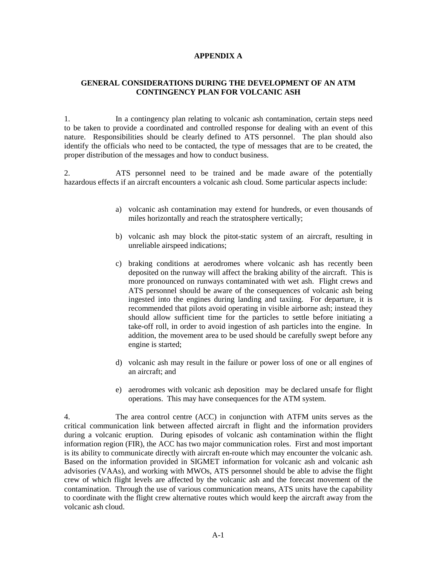#### **APPENDIX A**

#### **GENERAL CONSIDERATIONS DURING THE DEVELOPMENT OF AN ATM CONTINGENCY PLAN FOR VOLCANIC ASH**

1. In a contingency plan relating to volcanic ash contamination, certain steps need to be taken to provide a coordinated and controlled response for dealing with an event of this nature. Responsibilities should be clearly defined to ATS personnel. The plan should also identify the officials who need to be contacted, the type of messages that are to be created, the proper distribution of the messages and how to conduct business.

2. ATS personnel need to be trained and be made aware of the potentially hazardous effects if an aircraft encounters a volcanic ash cloud. Some particular aspects include:

- a) volcanic ash contamination may extend for hundreds, or even thousands of miles horizontally and reach the stratosphere vertically;
- b) volcanic ash may block the pitot-static system of an aircraft, resulting in unreliable airspeed indications;
- c) braking conditions at aerodromes where volcanic ash has recently been deposited on the runway will affect the braking ability of the aircraft. This is more pronounced on runways contaminated with wet ash. Flight crews and ATS personnel should be aware of the consequences of volcanic ash being ingested into the engines during landing and taxiing. For departure, it is recommended that pilots avoid operating in visible airborne ash; instead they should allow sufficient time for the particles to settle before initiating a take-off roll, in order to avoid ingestion of ash particles into the engine. In addition, the movement area to be used should be carefully swept before any engine is started;
- d) volcanic ash may result in the failure or power loss of one or all engines of an aircraft; and
- e) aerodromes with volcanic ash deposition may be declared unsafe for flight operations. This may have consequences for the ATM system.

4. The area control centre (ACC) in conjunction with ATFM units serves as the critical communication link between affected aircraft in flight and the information providers during a volcanic eruption. During episodes of volcanic ash contamination within the flight information region (FIR), the ACC has two major communication roles. First and most important is its ability to communicate directly with aircraft en-route which may encounter the volcanic ash. Based on the information provided in SIGMET information for volcanic ash and volcanic ash advisories (VAAs), and working with MWOs, ATS personnel should be able to advise the flight crew of which flight levels are affected by the volcanic ash and the forecast movement of the contamination. Through the use of various communication means, ATS units have the capability to coordinate with the flight crew alternative routes which would keep the aircraft away from the volcanic ash cloud.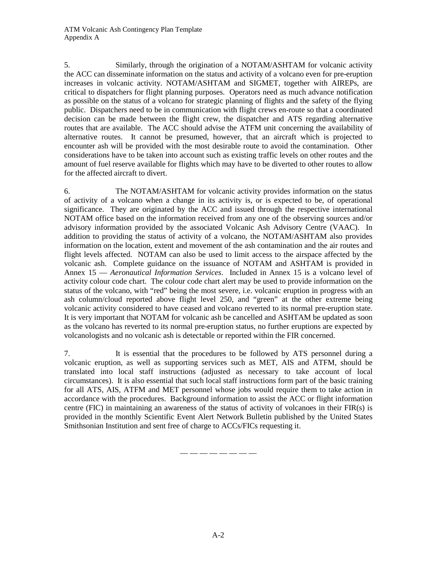5. Similarly, through the origination of a NOTAM/ASHTAM for volcanic activity the ACC can disseminate information on the status and activity of a volcano even for pre-eruption increases in volcanic activity. NOTAM/ASHTAM and SIGMET, together with AIREPs, are critical to dispatchers for flight planning purposes. Operators need as much advance notification as possible on the status of a volcano for strategic planning of flights and the safety of the flying public. Dispatchers need to be in communication with flight crews en-route so that a coordinated decision can be made between the flight crew, the dispatcher and ATS regarding alternative routes that are available. The ACC should advise the ATFM unit concerning the availability of alternative routes. It cannot be presumed, however, that an aircraft which is projected to encounter ash will be provided with the most desirable route to avoid the contamination. Other considerations have to be taken into account such as existing traffic levels on other routes and the amount of fuel reserve available for flights which may have to be diverted to other routes to allow for the affected aircraft to divert.

6. The NOTAM/ASHTAM for volcanic activity provides information on the status of activity of a volcano when a change in its activity is, or is expected to be, of operational significance. They are originated by the ACC and issued through the respective international NOTAM office based on the information received from any one of the observing sources and/or advisory information provided by the associated Volcanic Ash Advisory Centre (VAAC). In addition to providing the status of activity of a volcano, the NOTAM/ASHTAM also provides information on the location, extent and movement of the ash contamination and the air routes and flight levels affected. NOTAM can also be used to limit access to the airspace affected by the volcanic ash. Complete guidance on the issuance of NOTAM and ASHTAM is provided in Annex 15 — *Aeronautical Information Services*. Included in Annex 15 is a volcano level of activity colour code chart. The colour code chart alert may be used to provide information on the status of the volcano, with "red" being the most severe, i.e. volcanic eruption in progress with an ash column/cloud reported above flight level 250, and "green" at the other extreme being volcanic activity considered to have ceased and volcano reverted to its normal pre-eruption state. It is very important that NOTAM for volcanic ash be cancelled and ASHTAM be updated as soon as the volcano has reverted to its normal pre-eruption status, no further eruptions are expected by volcanologists and no volcanic ash is detectable or reported within the FIR concerned.

7. It is essential that the procedures to be followed by ATS personnel during a volcanic eruption, as well as supporting services such as MET, AIS and ATFM, should be translated into local staff instructions (adjusted as necessary to take account of local circumstances). It is also essential that such local staff instructions form part of the basic training for all ATS, AIS, ATFM and MET personnel whose jobs would require them to take action in accordance with the procedures. Background information to assist the ACC or flight information centre (FIC) in maintaining an awareness of the status of activity of volcanoes in their FIR(s) is provided in the monthly Scientific Event Alert Network Bulletin published by the United States Smithsonian Institution and sent free of charge to ACCs/FICs requesting it.

— — — — — — — —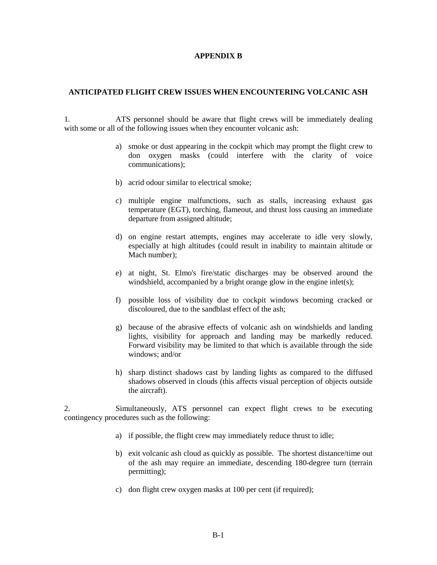#### **APPENDIX B**

#### **ANTICIPATED FLIGHT CREW ISSUES WHEN ENCOUNTERING VOLCANIC ASH**

1. ATS personnel should be aware that flight crews will be immediately dealing with some or all of the following issues when they encounter volcanic ash:

- a) smoke or dust appearing in the cockpit which may prompt the flight crew to don oxygen masks (could interfere with the clarity of voice communications);
- b) acrid odour similar to electrical smoke;
- c) multiple engine malfunctions, such as stalls, increasing exhaust gas temperature (EGT), torching, flameout, and thrust loss causing an immediate departure from assigned altitude;
- d) on engine restart attempts, engines may accelerate to idle very slowly, especially at high altitudes (could result in inability to maintain altitude or Mach number);
- e) at night, St. Elmo's fire/static discharges may be observed around the windshield, accompanied by a bright orange glow in the engine inlet(s);
- f) possible loss of visibility due to cockpit windows becoming cracked or discoloured, due to the sandblast effect of the ash;
- g) because of the abrasive effects of volcanic ash on windshields and landing lights, visibility for approach and landing may be markedly reduced. Forward visibility may be limited to that which is available through the side windows; and/or
- h) sharp distinct shadows cast by landing lights as compared to the diffused shadows observed in clouds (this affects visual perception of objects outside the aircraft).

2. Simultaneously, ATS personnel can expect flight crews to be executing contingency procedures such as the following:

- a) if possible, the flight crew may immediately reduce thrust to idle;
- b) exit volcanic ash cloud as quickly as possible. The shortest distance/time out of the ash may require an immediate, descending 180-degree turn (terrain permitting);
- c) don flight crew oxygen masks at 100 per cent (if required);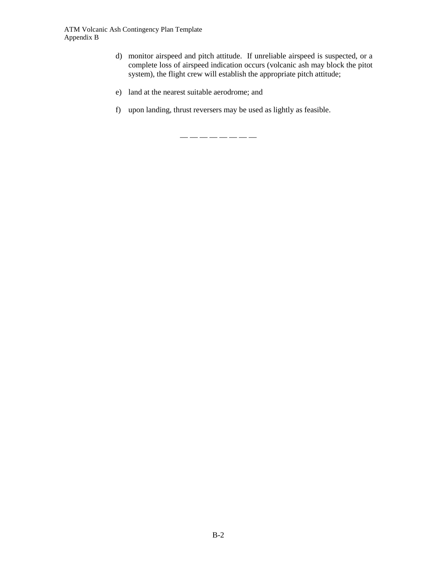- d) monitor airspeed and pitch attitude. If unreliable airspeed is suspected, or a complete loss of airspeed indication occurs (volcanic ash may block the pitot system), the flight crew will establish the appropriate pitch attitude;
- e) land at the nearest suitable aerodrome; and
- f) upon landing, thrust reversers may be used as lightly as feasible.

 $--------$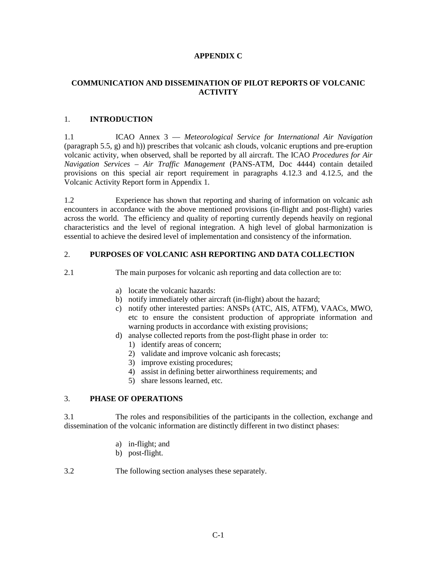## **APPENDIX C**

# **COMMUNICATION AND DISSEMINATION OF PILOT REPORTS OF VOLCANIC ACTIVITY**

## 1. **INTRODUCTION**

1.1 ICAO Annex 3 — *Meteorological Service for International Air Navigation* (paragraph 5.5, g) and h)) prescribes that volcanic ash clouds, volcanic eruptions and pre-eruption volcanic activity, when observed, shall be reported by all aircraft. The ICAO *Procedures for Air Navigation Services – Air Traffic Management* (PANS-ATM, Doc 4444) contain detailed provisions on this special air report requirement in paragraphs 4.12.3 and 4.12.5, and the Volcanic Activity Report form in Appendix 1.

1.2 Experience has shown that reporting and sharing of information on volcanic ash encounters in accordance with the above mentioned provisions (in-flight and post-flight) varies across the world. The efficiency and quality of reporting currently depends heavily on regional characteristics and the level of regional integration. A high level of global harmonization is essential to achieve the desired level of implementation and consistency of the information.

#### 2. **PURPOSES OF VOLCANIC ASH REPORTING AND DATA COLLECTION**

2.1 The main purposes for volcanic ash reporting and data collection are to:

- a) locate the volcanic hazards:
- b) notify immediately other aircraft (in-flight) about the hazard;
- c) notify other interested parties: ANSPs (ATC, AIS, ATFM), VAACs, MWO, etc to ensure the consistent production of appropriate information and warning products in accordance with existing provisions;
- d) analyse collected reports from the post-flight phase in order to:
	- 1) identify areas of concern;
	- 2) validate and improve volcanic ash forecasts;
	- 3) improve existing procedures;
	- 4) assist in defining better airworthiness requirements; and
	- 5) share lessons learned, etc.

## 3. **PHASE OF OPERATIONS**

3.1 The roles and responsibilities of the participants in the collection, exchange and dissemination of the volcanic information are distinctly different in two distinct phases:

- a) in-flight; and
- b) post-flight.
- 3.2 The following section analyses these separately.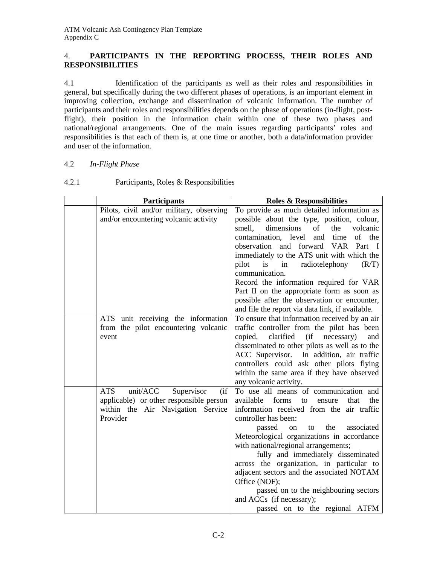# 4. **PARTICIPANTS IN THE REPORTING PROCESS, THEIR ROLES AND RESPONSIBILITIES**

4.1 Identification of the participants as well as their roles and responsibilities in general, but specifically during the two different phases of operations, is an important element in improving collection, exchange and dissemination of volcanic information. The number of participants and their roles and responsibilities depends on the phase of operations (in-flight, postflight), their position in the information chain within one of these two phases and national/regional arrangements. One of the main issues regarding participants' roles and responsibilities is that each of them is, at one time or another, both a data/information provider and user of the information.

# 4.2 *In-Flight Phase*

| <b>Participants</b>                           | <b>Roles &amp; Responsibilities</b>                                                              |
|-----------------------------------------------|--------------------------------------------------------------------------------------------------|
| Pilots, civil and/or military, observing      | To provide as much detailed information as                                                       |
| and/or encountering volcanic activity         | possible about the type, position, colour,                                                       |
|                                               | dimensions<br>smell,<br>of<br>volcanic<br>the                                                    |
|                                               | of the<br>contamination, level<br>time<br>and                                                    |
|                                               | observation and forward<br>VAR Part I                                                            |
|                                               | immediately to the ATS unit with which the                                                       |
|                                               | radiotelephony<br>(R/T)<br>pilot<br>is<br>in                                                     |
|                                               | communication.                                                                                   |
|                                               | Record the information required for VAR                                                          |
|                                               | Part II on the appropriate form as soon as                                                       |
|                                               | possible after the observation or encounter,<br>and file the report via data link, if available. |
| ATS unit receiving the information            | To ensure that information received by an air                                                    |
| from the pilot encountering volcanic          | traffic controller from the pilot has been                                                       |
| event                                         | clarified<br>(i f)<br>copied,<br>necessary)<br>and                                               |
|                                               | disseminated to other pilots as well as to the                                                   |
|                                               | ACC Supervisor. In addition, air traffic                                                         |
|                                               | controllers could ask other pilots flying                                                        |
|                                               | within the same area if they have observed                                                       |
|                                               | any volcanic activity.                                                                           |
| <b>ATS</b><br>unit/ACC<br>Supervisor<br>(i f) | To use all means of communication and                                                            |
| applicable) or other responsible person       | available<br>forms<br>the<br>that<br>to<br>ensure                                                |
| within the Air Navigation Service             | information received from the air traffic                                                        |
| Provider                                      | controller has been:                                                                             |
|                                               | the<br>passed<br>associated<br>on<br>to                                                          |
|                                               | Meteorological organizations in accordance                                                       |
|                                               | with national/regional arrangements;                                                             |
|                                               | fully and immediately disseminated                                                               |
|                                               | across the organization, in particular to                                                        |
|                                               | adjacent sectors and the associated NOTAM                                                        |
|                                               | Office (NOF);                                                                                    |
|                                               | passed on to the neighbouring sectors                                                            |
|                                               | and ACCs (if necessary);                                                                         |
|                                               | passed on to the regional ATFM                                                                   |

# 4.2.1 Participants, Roles & Responsibilities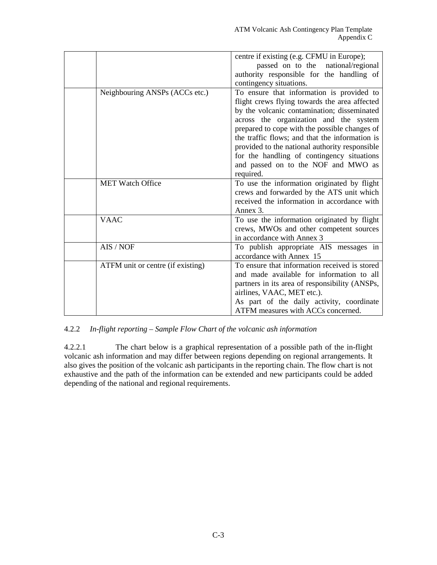|                                   | centre if existing (e.g. CFMU in Europe);      |
|-----------------------------------|------------------------------------------------|
|                                   | passed on to the national/regional             |
|                                   | authority responsible for the handling of      |
|                                   | contingency situations.                        |
| Neighbouring ANSPs (ACCs etc.)    | To ensure that information is provided to      |
|                                   | flight crews flying towards the area affected  |
|                                   | by the volcanic contamination; disseminated    |
|                                   | across the organization and the system         |
|                                   | prepared to cope with the possible changes of  |
|                                   | the traffic flows; and that the information is |
|                                   | provided to the national authority responsible |
|                                   | for the handling of contingency situations     |
|                                   | and passed on to the NOF and MWO as            |
|                                   | required.                                      |
| <b>MET Watch Office</b>           | To use the information originated by flight    |
|                                   | crews and forwarded by the ATS unit which      |
|                                   | received the information in accordance with    |
|                                   | Annex 3.                                       |
| <b>VAAC</b>                       | To use the information originated by flight    |
|                                   | crews, MWOs and other competent sources        |
|                                   | in accordance with Annex 3                     |
| AIS / NOF                         | To publish appropriate AIS messages in         |
|                                   | accordance with Annex 15                       |
| ATFM unit or centre (if existing) | To ensure that information received is stored  |
|                                   | and made available for information to all      |
|                                   | partners in its area of responsibility (ANSPs, |
|                                   | airlines, VAAC, MET etc.).                     |
|                                   | As part of the daily activity, coordinate      |
|                                   | ATFM measures with ACCs concerned.             |

#### 4.2.2 *In-flight reporting – Sample Flow Chart of the volcanic ash information*

4.2.2.1 The chart below is a graphical representation of a possible path of the in-flight volcanic ash information and may differ between regions depending on regional arrangements. It also gives the position of the volcanic ash participants in the reporting chain. The flow chart is not exhaustive and the path of the information can be extended and new participants could be added depending of the national and regional requirements.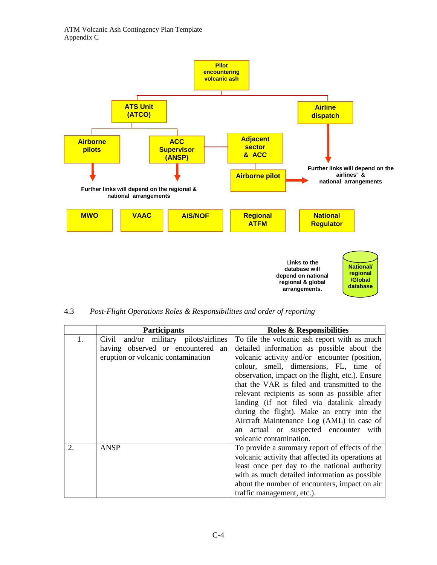

4.3 *Post-Flight Operations Roles & Responsibilities and order of reporting*

|                | <b>Participants</b>                   | <b>Roles &amp; Responsibilities</b>               |
|----------------|---------------------------------------|---------------------------------------------------|
| 1.             | Civil and/or military pilots/airlines | To file the volcanic ash report with as much      |
|                | having observed or encountered an     | detailed information as possible about the        |
|                | eruption or volcanic contamination    | volcanic activity and/or encounter (position,     |
|                |                                       | colour, smell, dimensions, FL, time of            |
|                |                                       | observation, impact on the flight, etc.). Ensure  |
|                |                                       | that the VAR is filed and transmitted to the      |
|                |                                       | relevant recipients as soon as possible after     |
|                |                                       | landing (if not filed via datalink already        |
|                |                                       | during the flight). Make an entry into the        |
|                |                                       | Aircraft Maintenance Log (AML) in case of         |
|                |                                       | actual or suspected encounter with<br>an          |
|                |                                       | volcanic contamination.                           |
| $\mathfrak{D}$ | <b>ANSP</b>                           | To provide a summary report of effects of the     |
|                |                                       | volcanic activity that affected its operations at |
|                |                                       | least once per day to the national authority      |
|                |                                       | with as much detailed information as possible     |
|                |                                       | about the number of encounters, impact on air     |
|                |                                       | traffic management, etc.).                        |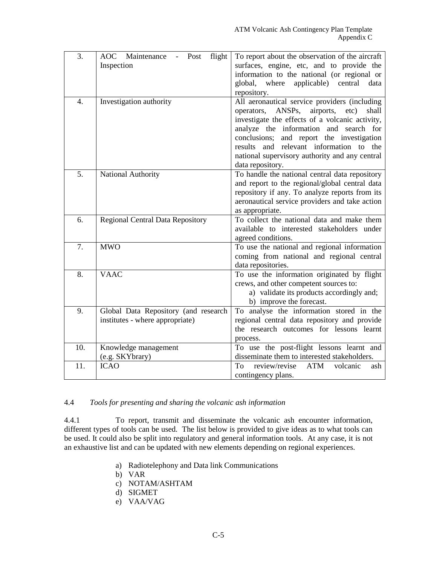| 3.               | AOC Maintenance<br>flight<br>Post       | To report about the observation of the aircraft                                     |
|------------------|-----------------------------------------|-------------------------------------------------------------------------------------|
|                  | Inspection                              | surfaces, engine, etc, and to provide the                                           |
|                  |                                         | information to the national (or regional or                                         |
|                  |                                         | global,<br>where<br>applicable) central<br>data                                     |
|                  |                                         | repository.                                                                         |
| $\overline{4}$ . | Investigation authority                 | All aeronautical service providers (including                                       |
|                  |                                         | ANSPs, airports, etc)<br>operators,<br>shall                                        |
|                  |                                         | investigate the effects of a volcanic activity,                                     |
|                  |                                         | analyze the information and search for                                              |
|                  |                                         | conclusions; and report the investigation                                           |
|                  |                                         | results and relevant information to the                                             |
|                  |                                         | national supervisory authority and any central                                      |
|                  |                                         | data repository.                                                                    |
| 5.               | National Authority                      | To handle the national central data repository                                      |
|                  |                                         | and report to the regional/global central data                                      |
|                  |                                         | repository if any. To analyze reports from its                                      |
|                  |                                         | aeronautical service providers and take action                                      |
|                  |                                         | as appropriate.                                                                     |
| 6.               | <b>Regional Central Data Repository</b> | To collect the national data and make them                                          |
|                  |                                         | available to interested stakeholders under                                          |
| 7.               | <b>MWO</b>                              | agreed conditions.                                                                  |
|                  |                                         | To use the national and regional information                                        |
|                  |                                         | coming from national and regional central                                           |
| 8.               | <b>VAAC</b>                             | data repositories.                                                                  |
|                  |                                         | To use the information originated by flight                                         |
|                  |                                         | crews, and other competent sources to:<br>a) validate its products accordingly and; |
|                  |                                         | b) improve the forecast.                                                            |
| 9.               | Global Data Repository (and research    | To analyse the information stored in the                                            |
|                  | institutes - where appropriate)         | regional central data repository and provide                                        |
|                  |                                         | the research outcomes for lessons learnt                                            |
|                  |                                         | process.                                                                            |
| 10.              | Knowledge management                    | To use the post-flight lessons learnt and                                           |
|                  | (e.g. SKYbrary)                         | disseminate them to interested stakeholders.                                        |
| 11.              | <b>ICAO</b>                             | review/revise<br>ATM<br><b>To</b><br>volcanic<br>ash                                |
|                  |                                         | contingency plans.                                                                  |

# 4.4 *Tools for presenting and sharing the volcanic ash information*

4.4.1 To report, transmit and disseminate the volcanic ash encounter information, different types of tools can be used. The list below is provided to give ideas as to what tools can be used. It could also be split into regulatory and general information tools. At any case, it is not an exhaustive list and can be updated with new elements depending on regional experiences.

- a) Radiotelephony and Data link Communications
- b) VAR
- c) NOTAM/ASHTAM
- d) SIGMET
- e) VAA/VAG